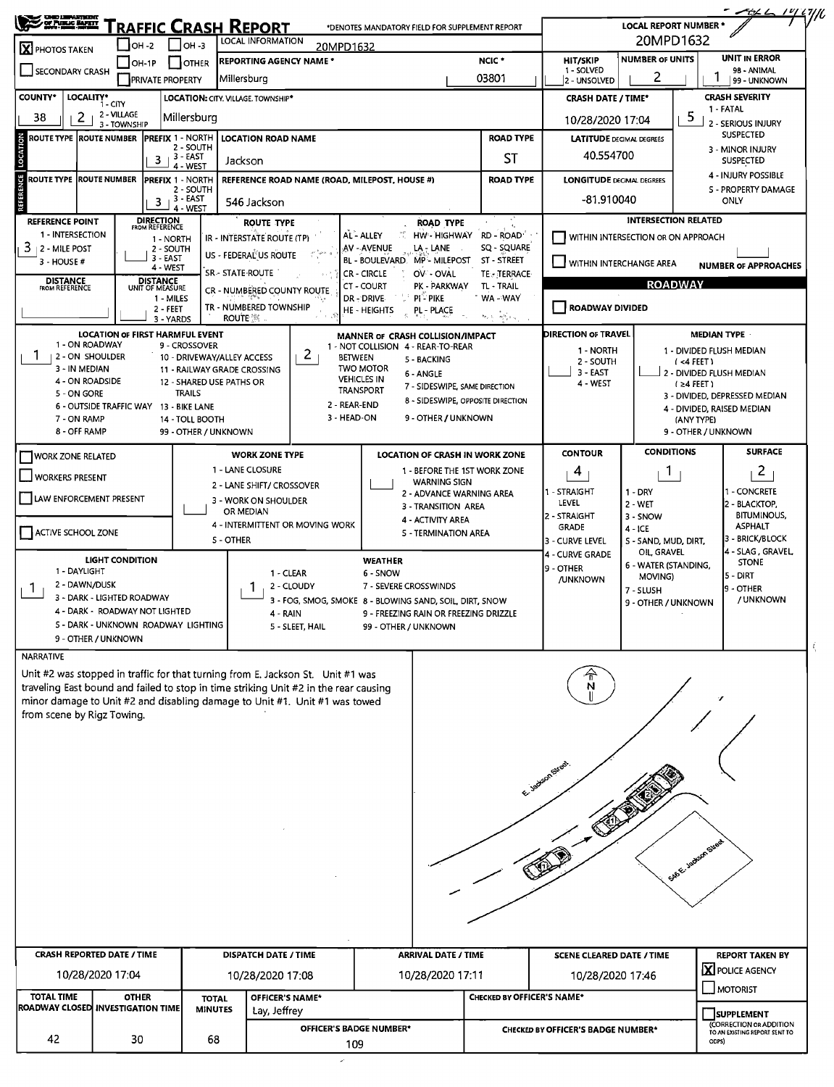| <b>SEARCHARTH</b>                                                                                                       |                             |                                                 |                                                         | 'raffic Crash Report                     |                                                                                              | *DENOTES MANDATORY FIELD FOR SUPPLEMENT REPORT                         |                                  |                                    | <b>LOCAL REPORT NUMBER *</b>        |                                              | - AH L<br><u> 14 L</u> IIIL                              |  |  |
|-------------------------------------------------------------------------------------------------------------------------|-----------------------------|-------------------------------------------------|---------------------------------------------------------|------------------------------------------|----------------------------------------------------------------------------------------------|------------------------------------------------------------------------|----------------------------------|------------------------------------|-------------------------------------|----------------------------------------------|----------------------------------------------------------|--|--|
| X PHOTOS TAKEN                                                                                                          | <b>OH -2</b>                |                                                 | OH -3                                                   | LOCAL INFORMATION                        | 20MPD1632                                                                                    |                                                                        |                                  |                                    | 20MPD1632                           |                                              |                                                          |  |  |
| <b>REPORTING AGENCY NAME *</b><br>$IOH-1P$<br><b>OTHER</b><br>SECONDARY CRASH<br>Millersburg<br><b>PRIVATE PROPERTY</b> |                             |                                                 |                                                         |                                          |                                                                                              | NCIC <sup>+</sup>                                                      | HIT/SKIP                         | <b>NUMBER OF UNITS</b>             |                                     | <b>UNIT IN ERROR</b>                         |                                                          |  |  |
|                                                                                                                         |                             |                                                 |                                                         |                                          |                                                                                              | 03801                                                                  | 1 - SOLVED<br>2 - UNSOLVED       | 2                                  | 98 - ANIMAL<br>99 - UNKNOWN         |                                              |                                                          |  |  |
| <b>COUNTY*</b><br>LOCALITY*                                                                                             | 1 - CITY                    |                                                 |                                                         | LOCATION: CITY, VILLAGE, TOWNSHIP*       |                                                                                              |                                                                        | <b>CRASH DATE / TIME*</b>        |                                    |                                     | <b>CRASH SEVERITY</b>                        |                                                          |  |  |
| 38<br>2.                                                                                                                | 2 - VILLAGE<br>3 - TOWNSHIP |                                                 | Millersburg                                             |                                          |                                                                                              |                                                                        | 10/28/2020 17:04                 |                                    | 5                                   | 1 - FATAL<br>2 - SERIOUS INJURY              |                                                          |  |  |
| ROUTE TYPE  ROUTE NUMBER                                                                                                |                             |                                                 | <b>PREFIX 1 - NORTH</b>                                 | <b>LOCATION ROAD NAME</b>                |                                                                                              |                                                                        | <b>ROAD TYPE</b>                 |                                    | <b>LATITUDE</b> DECIMAL DEGREES     |                                              | <b>SUSPECTED</b>                                         |  |  |
| LOCATION                                                                                                                |                             | 3                                               | 2 - SOUTH<br>3 - EAST                                   | Jackson                                  |                                                                                              |                                                                        | 40.554700                        |                                    |                                     | 3 - MINOR INJURY<br><b>SUSPECTED</b>         |                                                          |  |  |
| <b>ROUTE TYPE ROUTE NUMBER</b>                                                                                          |                             |                                                 | 4 - WEST<br><b>PREFIX 1 - NORTH</b>                     |                                          |                                                                                              | REFERENCE ROAD NAME (ROAD, MILEPOST, HOUSE #)                          | <b>LONGITUDE DECIMAL DEGREES</b> |                                    |                                     | 4 - INJURY POSSIBLE                          |                                                          |  |  |
| REFERENCE<br>2 - SOUTH<br>3 - EAST<br>з.<br>546 Jackson                                                                 |                             |                                                 |                                                         |                                          |                                                                                              |                                                                        | <b>ROAD TYPE</b>                 | -81.910040                         |                                     |                                              | S - PROPERTY DAMAGE<br>ONLY                              |  |  |
| <b>REFERENCE POINT</b>                                                                                                  |                             |                                                 | 4 - WEST                                                |                                          |                                                                                              |                                                                        |                                  |                                    | <b>INTERSECTION RELATED</b>         |                                              |                                                          |  |  |
| 1 - INTERSECTION                                                                                                        |                             | <b>DIRECTION</b><br>FROM REFERENCE<br>1 - NORTH |                                                         | ROUTE TYPE<br>IR - INTERSTATE ROUTE (TP) |                                                                                              | <b>ROAD TYPE</b><br>AL-ALLEY<br>HW - HIGHWAY                           | RD - ROAD <sup>®</sup>           |                                    | WITHIN INTERSECTION OR ON APPROACH  |                                              |                                                          |  |  |
| $3 + 2 -$ MILE POST                                                                                                     |                             | 2 - SOUTH<br>3 - EAST                           |                                                         | US - FEDERAL US ROUTE                    | $\left.\begin{array}{cc} \rho^{2} & \rho\sigma\pi & g\\ \epsilon & \zeta \end{array}\right.$ | AV - AVENUE<br>LA - LANE                                               | SQ - SQUARE                      |                                    |                                     |                                              |                                                          |  |  |
| 3 - HOUSE #                                                                                                             |                             | 4 - WEST                                        |                                                         | SR - STATE ROUTE                         |                                                                                              | BL - BOULEVARD. MP - MILEPOST<br>OV - OVAL<br>CR - CIRCLE              | ST - STREET<br>TE - TERRACE      |                                    | WITHIN INTERCHANGE AREA             |                                              | <b>NUMBER OF APPROACHES</b>                              |  |  |
| <b>DISTANCE</b><br>FROM REFERENCE                                                                                       |                             | <b>DISTANCE</b><br>UNIT OF MEASURE              |                                                         | CR - NUMBERED COUNTY ROUTE               |                                                                                              | CT - COURT<br>PK - PARKWAY                                             | TL - TRAIL                       |                                    | <b>ROADWAY</b>                      |                                              |                                                          |  |  |
|                                                                                                                         |                             | 1 - MILES<br>2 - FEET                           |                                                         | TR - NUMBERED TOWNSHIP                   |                                                                                              | $PI - PIKE$<br>DR - DRIVE<br>HE - HEIGHTS<br>PL - PLACE                | WA - WAY                         | ROADWAY DIVIDED                    |                                     |                                              |                                                          |  |  |
|                                                                                                                         |                             | 3 - YARDS                                       |                                                         | <b>ROUTE</b>                             |                                                                                              |                                                                        | 柳 医螺纹的                           |                                    |                                     |                                              |                                                          |  |  |
| 1 - ON ROADWAY                                                                                                          |                             |                                                 | <b>LOCATION OF FIRST HARMFUL EVENT</b><br>9 - CROSSOVER |                                          |                                                                                              | MANNER OF CRASH COLLISION/IMPACT<br>1 - NOT COLLISION 4 - REAR-TO-REAR |                                  | <b>DIRECTION OF TRAVEL</b>         |                                     | <b>MEDIAN TYPE</b>                           |                                                          |  |  |
| 2 - ON SHOULDER                                                                                                         |                             |                                                 |                                                         | 10 - DRIVEWAY/ALLEY ACCESS               | 2<br><b>BETWEEN</b>                                                                          | 5 - BACKING                                                            |                                  | 1 - NORTH<br>2 - SOUTH             |                                     | 1 - DIVIDED FLUSH MEDIAN<br>$(4$ FEET)       |                                                          |  |  |
| 3 - IN MEDIAN<br>4 - ON ROADSIDE                                                                                        |                             |                                                 | 12 - SHARED USE PATHS OR                                | 11 - RAILWAY GRADE CROSSING              |                                                                                              | <b>TWO MOTOR</b><br>6 - ANGLE<br><b>VEHICLES IN</b>                    |                                  | $3 - EAST$                         |                                     |                                              | 2 - DIVIDED FLUSH MEDIAN                                 |  |  |
| 5 - ON GORE                                                                                                             |                             |                                                 | <b>TRAILS</b>                                           |                                          |                                                                                              | 7 - SIDESWIPE, SAME DIRECTION<br><b>TRANSPORT</b>                      |                                  | 4 - WEST                           |                                     | $(24$ FEET)<br>3 - DIVIDED, DEPRESSED MEDIAN |                                                          |  |  |
| 6 - OUTSIDE TRAFFIC WAY 13 - BIKE LANE                                                                                  |                             |                                                 |                                                         |                                          | 2 - REAR-END<br>3 - HEAD-ON                                                                  | 8 - SIDESWIPE, OPPOSITE DIRECTION<br>9 - OTHER / UNKNOWN               |                                  |                                    |                                     | 4 - DIVIDED, RAISED MEDIAN                   |                                                          |  |  |
| 7 - ON RAMP<br>8 - OFF RAMP                                                                                             |                             |                                                 | 14 - TOLL BOOTH<br>99 - OTHER / UNKNOWN                 |                                          |                                                                                              |                                                                        |                                  |                                    |                                     | (ANY TYPE)<br>9 - OTHER / UNKNOWN            |                                                          |  |  |
| WORK ZONE RELATED                                                                                                       |                             |                                                 |                                                         | <b>WORK ZONE TYPE</b>                    |                                                                                              | <b>LOCATION OF CRASH IN WORK ZONE</b>                                  |                                  | <b>CONTOUR</b>                     | <b>CONDITIONS</b>                   |                                              | <b>SURFACE</b>                                           |  |  |
| <b>WORKERS PRESENT</b>                                                                                                  |                             |                                                 |                                                         | 1 - LANE CLOSURE                         |                                                                                              | 1 - BEFORE THE 1ST WORK ZONE                                           |                                  | 4                                  |                                     |                                              | 2                                                        |  |  |
|                                                                                                                         |                             |                                                 |                                                         | 2 - LANE SHIFT/ CROSSOVER                |                                                                                              | <b>WARNING SIGN</b><br>2 - ADVANCE WARNING AREA                        |                                  | 1 - STRAIGHT                       | $1 - DRY$                           |                                              | 1 - CONCRETE                                             |  |  |
| LAW ENFORCEMENT PRESENT                                                                                                 |                             |                                                 |                                                         | 3 - WORK ON SHOULDER<br>OR MEDIAN        |                                                                                              | 3 - TRANSITION AREA                                                    |                                  | LEVEL                              | 2 - WET                             |                                              | 2 - BLACKTOP,                                            |  |  |
| ACTIVE SCHOOL ZONE                                                                                                      |                             |                                                 |                                                         |                                          | 4 - INTERMITTENT OR MOVING WORK                                                              | 4 - ACTIVITY AREA                                                      |                                  | 2 - STRAIGHT<br>GRADE              | 3 - SNOW<br>$4 - ICE$               |                                              | <b>BITUMINOUS,</b><br><b>ASPHALT</b>                     |  |  |
|                                                                                                                         |                             |                                                 |                                                         | <b>S-OTHER</b>                           |                                                                                              | <b>S - TERMINATION AREA</b>                                            |                                  | 3 - CURVE LEVEL                    | S - SAND, MUD, DIRT,                |                                              | 3 - BRICK/BLOCK<br>4 - SLAG, GRAVEL                      |  |  |
|                                                                                                                         | <b>LIGHT CONDITION</b>      |                                                 |                                                         |                                          |                                                                                              | <b>WEATHER</b>                                                         |                                  | 4 - CURVE GRADE<br>9 - OTHER       | OIL, GRAVEL<br>6 - WATER (STANDING, |                                              | <b>STONE</b>                                             |  |  |
| 1 - DAYLIGHT<br>2 - DAWN/DUSK                                                                                           |                             |                                                 |                                                         | 1 - CLEAR                                | 2 - CLOUDY                                                                                   | 6 - SNOW<br>7 - SEVERE CROSSWINDS                                      |                                  | <b>/UNKNOWN</b>                    | MOVING)                             |                                              | 5 - DIRT                                                 |  |  |
| $\mathbf{I}$<br>3 - DARK - LIGHTED ROADWAY                                                                              |                             |                                                 |                                                         |                                          |                                                                                              | 3 - FOG, SMOG, SMOKE 8 - BLOWING SAND, SOIL, DIRT, SNOW                |                                  |                                    | 7 - SLUSH<br>9 - OTHER / UNKNOWN    |                                              | <b>9 - OTHER</b><br>/ UNKNOWN                            |  |  |
| 4 - DARK - ROADWAY NOT LIGHTED                                                                                          |                             |                                                 |                                                         | 4 - RAIN                                 |                                                                                              | 9 - FREEZING RAIN OR FREEZING DRIZZLE                                  |                                  |                                    |                                     |                                              |                                                          |  |  |
| 9 - OTHER / UNKNOWN                                                                                                     |                             |                                                 | S - DARK - UNKNOWN ROADWAY LIGHTING                     |                                          | 5 - SLEET, HAIL                                                                              | 99 - OTHER / UNKNOWN                                                   |                                  |                                    |                                     |                                              |                                                          |  |  |
| NARRATIVE                                                                                                               |                             |                                                 |                                                         |                                          |                                                                                              |                                                                        |                                  |                                    |                                     |                                              |                                                          |  |  |
| Unit #2 was stopped in traffic for that turning from E. Jackson St. Unit #1 was                                         |                             |                                                 |                                                         |                                          |                                                                                              |                                                                        |                                  |                                    |                                     |                                              |                                                          |  |  |
| traveling East bound and failed to stop in time striking Unit #2 in the rear causing                                    |                             |                                                 |                                                         |                                          |                                                                                              |                                                                        |                                  |                                    |                                     |                                              |                                                          |  |  |
| minor damage to Unit #2 and disabling damage to Unit #1. Unit #1 was towed<br>from scene by Rigz Towing.                |                             |                                                 |                                                         |                                          |                                                                                              |                                                                        |                                  |                                    |                                     |                                              |                                                          |  |  |
|                                                                                                                         |                             |                                                 |                                                         |                                          |                                                                                              |                                                                        |                                  |                                    |                                     |                                              |                                                          |  |  |
|                                                                                                                         |                             |                                                 |                                                         |                                          |                                                                                              |                                                                        |                                  |                                    |                                     |                                              |                                                          |  |  |
|                                                                                                                         |                             |                                                 |                                                         |                                          |                                                                                              |                                                                        |                                  |                                    |                                     |                                              |                                                          |  |  |
|                                                                                                                         |                             |                                                 |                                                         |                                          |                                                                                              |                                                                        |                                  | E-Jackson Street                   |                                     |                                              |                                                          |  |  |
|                                                                                                                         |                             |                                                 |                                                         |                                          |                                                                                              |                                                                        |                                  |                                    |                                     |                                              |                                                          |  |  |
|                                                                                                                         |                             |                                                 |                                                         |                                          |                                                                                              |                                                                        |                                  |                                    |                                     |                                              |                                                          |  |  |
|                                                                                                                         |                             |                                                 |                                                         |                                          |                                                                                              |                                                                        |                                  |                                    |                                     |                                              |                                                          |  |  |
|                                                                                                                         |                             |                                                 |                                                         |                                          |                                                                                              |                                                                        |                                  |                                    |                                     |                                              |                                                          |  |  |
|                                                                                                                         |                             |                                                 |                                                         |                                          |                                                                                              |                                                                        |                                  |                                    |                                     | SAGE Jackson Street                          |                                                          |  |  |
|                                                                                                                         |                             |                                                 |                                                         |                                          |                                                                                              |                                                                        |                                  |                                    |                                     |                                              |                                                          |  |  |
|                                                                                                                         |                             |                                                 |                                                         |                                          |                                                                                              |                                                                        |                                  |                                    |                                     |                                              |                                                          |  |  |
|                                                                                                                         |                             |                                                 |                                                         |                                          |                                                                                              |                                                                        |                                  |                                    |                                     |                                              |                                                          |  |  |
|                                                                                                                         |                             |                                                 |                                                         |                                          |                                                                                              |                                                                        |                                  |                                    |                                     |                                              |                                                          |  |  |
| <b>CRASH REPORTED DATE / TIME</b>                                                                                       |                             |                                                 |                                                         | <b>DISPATCH DATE / TIME</b>              |                                                                                              | <b>ARRIVAL DATE / TIME</b>                                             |                                  | <b>SCENE CLEARED DATE / TIME</b>   |                                     |                                              | <b>REPORT TAKEN BY</b>                                   |  |  |
|                                                                                                                         | 10/28/2020 17:04            |                                                 |                                                         | 10/28/2020 17:11<br>10/28/2020 17:08     |                                                                                              |                                                                        |                                  | 10/28/2020 17:46                   |                                     | X POLICE AGENCY                              |                                                          |  |  |
|                                                                                                                         | <b>OTHER</b>                |                                                 |                                                         |                                          |                                                                                              |                                                                        |                                  |                                    |                                     |                                              | MOTORIST                                                 |  |  |
| <b>TOTAL TIME</b>                                                                                                       |                             |                                                 | <b>TOTAL</b>                                            | OFFICER'S NAME*                          |                                                                                              |                                                                        | CHECKED BY OFFICER'S NAME*       |                                    |                                     |                                              |                                                          |  |  |
| ROADWAY CLOSED INVESTIGATION TIME                                                                                       |                             |                                                 | <b>MINUTES</b>                                          | Lay, Jeffrey                             |                                                                                              |                                                                        |                                  |                                    |                                     |                                              | SUPPLEMENT                                               |  |  |
| 42                                                                                                                      | 30                          |                                                 | 68                                                      |                                          | OFFICER'S BADGE NUMBER*<br>109                                                               |                                                                        |                                  | CHECKED BY OFFICER'S BADGE NUMBER* |                                     | ODPS)                                        | (CORRECTION OR ADDITION<br>TO AN EXISTING REPORT SENT TO |  |  |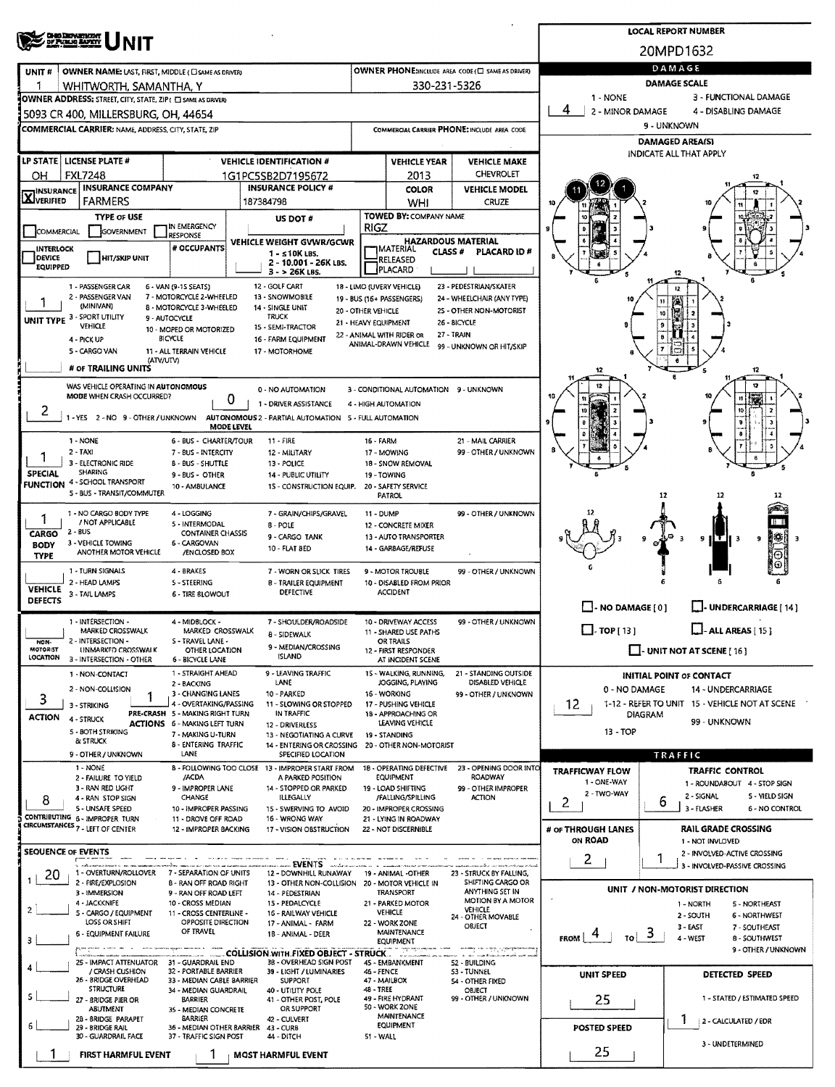|                                                                                                                            | <b>LOCAL REPORT NUMBER</b>                                                    |                                                                     |                                                         |                                                        |                                                                                    |                                                                  |  |  |  |  |  |
|----------------------------------------------------------------------------------------------------------------------------|-------------------------------------------------------------------------------|---------------------------------------------------------------------|---------------------------------------------------------|--------------------------------------------------------|------------------------------------------------------------------------------------|------------------------------------------------------------------|--|--|--|--|--|
| <b>CHIO DEPARTMENT</b><br>DF PUBLIO ANTITY<br>INIT                                                                         | 20MPD1632                                                                     |                                                                     |                                                         |                                                        |                                                                                    |                                                                  |  |  |  |  |  |
| OWNER NAME: LAST, FIRST, MIDDLE (CI SAME AS DRIVER)<br>UNIT#                                                               |                                                                               |                                                                     |                                                         | OWNER PHONE: MCLUDE AREA CODE (E) SAME AS DRIVER)      | DAMAGE                                                                             |                                                                  |  |  |  |  |  |
| ٦<br>WHITWORTH, SAMANTHA, Y                                                                                                |                                                                               |                                                                     | 330-231-5326                                            |                                                        | <b>DAMAGE SCALE</b>                                                                |                                                                  |  |  |  |  |  |
| OWNER ADDRESS: STREET, CITY, STATE, ZIP( C SAME AS DRIVER)<br>5093 CR 400, MILLERSBURG, OH, 44654                          |                                                                               |                                                                     |                                                         |                                                        | 1 - NONE<br>3 - FUNCTIONAL DAMAGE<br>4<br>2 - MINOR DAMAGE<br>4 - DISABLING DAMAGE |                                                                  |  |  |  |  |  |
| COMMERCIAL CARRIER: NAME, ADDRESS, CITY, STATE, ZIP                                                                        |                                                                               |                                                                     |                                                         | COMMERCIAL CARRIER PHONE: INCLUDE AREA CODE            | 9 - UNKNOWN                                                                        |                                                                  |  |  |  |  |  |
|                                                                                                                            |                                                                               |                                                                     |                                                         |                                                        | <b>DAMAGED AREA(S)</b>                                                             |                                                                  |  |  |  |  |  |
| LP STATE   LICENSE PLATE #                                                                                                 | <b>VEHICLE IDENTIFICATION #</b>                                               |                                                                     | <b>VEHICLE YEAR</b>                                     | <b>VEHICLE MAKE</b>                                    |                                                                                    | INDICATE ALL THAT APPLY                                          |  |  |  |  |  |
| <b>FXL7248</b><br>OН<br><b>INSURANCE COMPANY</b>                                                                           | 1G1PC5SB2D7195672<br><b>INSURANCE POLICY #</b>                                |                                                                     | 2013                                                    | <b>CHEVROLET</b>                                       |                                                                                    |                                                                  |  |  |  |  |  |
| <b>INSURANCE</b><br><b>X</b> VERIFIED<br><b>FARMERS</b>                                                                    | 187384798                                                                     |                                                                     | <b>COLOR</b><br>WHI                                     | <b>VEHICLE MODEL</b><br>CRUZE                          |                                                                                    |                                                                  |  |  |  |  |  |
| <b>TYPE OF USE</b>                                                                                                         | US DOT #                                                                      |                                                                     | TOWED BY: COMPANY NAME                                  |                                                        |                                                                                    |                                                                  |  |  |  |  |  |
| IN EMERGENCY<br>COMMERCIAL<br>GOVERNMENT<br><b>RESPONSE</b>                                                                | VEHICLE WEIGHT GVWR/GCWR                                                      | <b>RIGZ</b>                                                         | <b>HAZARDOUS MATERIAL</b>                               |                                                        |                                                                                    |                                                                  |  |  |  |  |  |
| # OCCUPANTS<br><b>INTERLOCK</b><br>DEVICE<br>HIT/SKIP UNIT                                                                 | 1 - ≤10K LBS.                                                                 |                                                                     | <b>TMATERIAL</b><br>CLASS #<br><b>RELEASED</b>          | PLACARD ID#                                            |                                                                                    |                                                                  |  |  |  |  |  |
| <b>EQUIPPED</b>                                                                                                            | 2 - 10.001 - 26K LBS.<br>$3 - 26K$ LBS.                                       |                                                                     | <b>PLACARD</b>                                          |                                                        |                                                                                    |                                                                  |  |  |  |  |  |
| 1 - PASSENGER CAR<br>6 - VAN (9-15 SEATS)<br>2 - PASSENGER VAN<br>7 - MOTORCYCLE 2-WHEELED                                 | 12 - GOLF CART<br>13 - SNOWMOBILE                                             |                                                                     | 18 - LIMO (UVERY VEHICLE)<br>19 - BUS (16 + PASSENGERS) | 23 - PEDESTRIAN/SKATER<br>24 - WHEELCHAIR (ANY TYPE)   |                                                                                    |                                                                  |  |  |  |  |  |
| (MINIVAN)<br>8 - MOTORCYCLE 3-WHEELED                                                                                      | 14 - SINGLE UNIT<br>20 - OTHER VEHICLE<br><b>TRUCK</b>                        |                                                                     |                                                         | 25 - OTHER NON-MOTORIST                                |                                                                                    | 11<br>10                                                         |  |  |  |  |  |
| UNIT TYPE 3 - SPORT UTILITY<br>9 - AUTOCYCLE<br>VEHICLE<br>10 - MOPED OR MOTORIZED                                         | 21 - HEAVY EQUIPMENT<br>15 - SEMI-TRACTOR                                     |                                                                     | 22 - ANIMAL WITH RIDER OR                               | 26 - BICYCLE<br>27 - TRAIN                             |                                                                                    |                                                                  |  |  |  |  |  |
| <b>BICYCLE</b><br>4 - PICK UP<br>5 - CARGO VAN<br>11 - ALL TERRAIN VEHICLE                                                 | 16 - FARM EQUIPMENT<br>17 - MOTORHOME                                         |                                                                     | ANIMAL-DRAWN VEHICLE                                    | 99 - UNKNOWN OR HIT/SKIP                               |                                                                                    |                                                                  |  |  |  |  |  |
| (ATV/UTV)<br># OF TRAILING UNITS                                                                                           |                                                                               |                                                                     |                                                         |                                                        | 12                                                                                 | 12                                                               |  |  |  |  |  |
| WAS VEHICLE OPERATING IN AUTONOMOUS                                                                                        | 0 - NO AUTOMATION                                                             |                                                                     | 3 - CONDITIONAL AUTOMATION 9 - UNKNOWN                  |                                                        |                                                                                    | 12                                                               |  |  |  |  |  |
| MODE WHEN CRASH OCCURRED?<br>0                                                                                             | 1 - DRIVER ASSISTANCE                                                         |                                                                     | 4 - HIGH AUTOMATION                                     |                                                        |                                                                                    |                                                                  |  |  |  |  |  |
| Ζ<br>1 - YES 2 - NO 9 - OTHER / UNKNOWN AUTONOMOUS 2 - PARTIAL AUTOMATION 5 - FULL AUTOMATION                              |                                                                               |                                                                     |                                                         |                                                        |                                                                                    | 10<br>Ð                                                          |  |  |  |  |  |
| MODE LEVEL<br>1 - NONE<br>6 - BUS - CHARTER/TOUR                                                                           | $11 - FIRE$                                                                   | 16 - FARM                                                           |                                                         | 21 - MAIL CARRIER                                      |                                                                                    |                                                                  |  |  |  |  |  |
| $2 - TAXI$<br>7 - BUS - INTERCITY                                                                                          | 12 - MILITARY                                                                 |                                                                     | 17 - MOWING                                             | 99 - OTHER / UNKNOWN                                   |                                                                                    |                                                                  |  |  |  |  |  |
| 3 - ELECTRONIC RIDE<br><b>B - BUS - SHUTTLE</b><br>SHARING<br><b>SPECIAL</b><br>9 - BUS - OTHER                            | 13 - POLICE<br><b>14 - PUBLIC UTILITY</b>                                     | 19 - TOWING                                                         | 18 - SNOW REMOVAL                                       |                                                        |                                                                                    |                                                                  |  |  |  |  |  |
| <b>FUNCTION 4 - SCHOOL TRANSPORT</b><br>10 - AMBULANCE<br>5 - BUS - TRANSIT/COMMUTER                                       | 1S - CONSTRUCTION EQUIP.                                                      |                                                                     | 20 - SAFETY SERVICE<br>PATROL                           |                                                        |                                                                                    | 12<br>12                                                         |  |  |  |  |  |
| 1 - NO CARGO BODY TYPE<br>4 - LOGGING                                                                                      | 7 - GRAIN/CHIPS/GRAVEL                                                        | <b>11 - DUMP</b>                                                    |                                                         | 99 - OTHER / UNKNOWN                                   |                                                                                    |                                                                  |  |  |  |  |  |
| 1<br>/ NOT APPLICABLE<br>5 - INTERMODAL<br>$2 - BUS$<br><b>CONTAINER CHASSIS</b>                                           | 8 - POLE                                                                      | 12 - CONCRETE MIXER<br>13 - AUTO TRANSPORTER<br>14 - GARBAGE/REFUSE |                                                         |                                                        |                                                                                    |                                                                  |  |  |  |  |  |
| CARGO<br>3 - VEHICLE TOWING<br>6 - CARGOVAN<br><b>BODY</b>                                                                 | 9 - CARGO TANK<br>10 - FLAT BED                                               |                                                                     |                                                         |                                                        |                                                                                    | 9<br>9                                                           |  |  |  |  |  |
| ANOTHER MOTOR VEHICLE<br>/ENCLOSED BOX<br><b>TYPE</b>                                                                      |                                                                               |                                                                     |                                                         |                                                        |                                                                                    |                                                                  |  |  |  |  |  |
| 1 - TURN SIGNALS<br>4 - BRAKES<br>2 - HEAD LAMPS<br><b>S - STEERING</b>                                                    | 7 - WORN OR SLICK TIRES<br><b>8 - TRAILER EQUIPMENT</b>                       |                                                                     | 9 - MOTOR TROUBLE<br>10 - DISABLED FROM PRIOR           | 99 - OTHER / UNKNOWN                                   |                                                                                    |                                                                  |  |  |  |  |  |
| <b>VEHICLE</b><br>3 - TAIL LAMPS<br>6 - TIRE 81 OWOUT<br><b>DEFECTS</b>                                                    | <b>DEFECTIVE</b>                                                              |                                                                     | <b>ACCIDENT</b>                                         |                                                        |                                                                                    |                                                                  |  |  |  |  |  |
| 1 - INTERSECTION -<br>4 - MIDBLOCK -                                                                                       | 7 - SHOULDER/ROADSIDE                                                         |                                                                     | 10 - DRIVEWAY ACCESS                                    | 99 - OTHER / UNKNOWN                                   | NO DAMAGE [0]                                                                      | <b>UNDERCARRIAGE [ 14 ]</b>                                      |  |  |  |  |  |
| MARKED CROSSWALK<br>MARKED CROSSWALK<br>2 - INTERSECTION -<br>S - TRAVEL LANE -<br>NON-                                    | 8 - SIDEWALK                                                                  | 11 - SHARED USE PATHS<br>OR TRAILS                                  |                                                         |                                                        | $\Box$ - TOP [ 13 ]                                                                | $\Box$ - ALL AREAS [ 15 ]                                        |  |  |  |  |  |
| MOTORIST<br>UNMARKED CROSSWALK<br>OTHER LOCATION<br><b>LOCATION</b><br>3 - INTERSECTION - OTHER<br><b>6 - BICYCLE LANE</b> | 9 - MEDIAN/CROSSING<br><b>ISLAND</b>                                          |                                                                     | 12 - FIRST RESPONDER<br>AT INCIDENT SCENE               |                                                        |                                                                                    | $\Box$ - UNIT NOT AT SCENE [ 16 ]                                |  |  |  |  |  |
| 1 - STRAIGHT AHEAD<br>1 - NON-CONTACT                                                                                      | 9 - LEAVING TRAFFIC                                                           |                                                                     | 15 - WALKING, RUNNING,                                  | 21 - STANDING OUTSIDE                                  |                                                                                    | <b>INITIAL POINT OF CONTACT</b>                                  |  |  |  |  |  |
| 2 - BACKING<br>2 - NON-COLLISION<br>3 - CHANGING LANES                                                                     | LANE<br>10 - PARKED                                                           |                                                                     | JOGGING, PLAYING<br>16 - WORKING                        | DISABLED VEHICLE<br>99 - OTHER / UNKNOWN               | 0 - NO DAMAGE                                                                      | 14 - UNDERCARRIAGE                                               |  |  |  |  |  |
| 3<br>4 - OVERTAKING/PASSING<br>3 - STRIKING<br>PRE-CRASH 5 - MAKING RIGHT TURN                                             | 11 - SLOWING OR STOPPED<br>IN TRAFFIC                                         |                                                                     | 17 - PUSHING VEHICLE<br>18 - APPROACHING OR             |                                                        | 12                                                                                 | 1-12 - REFER TO UNIT 15 - VEHICLE NOT AT SCENE<br><b>DIAGRAM</b> |  |  |  |  |  |
| <b>ACTION</b><br>4 - STRUCK<br><b>ACTIONS</b> 6 - MAKING LEFT TURN<br>5 - BOTH STRIKING<br>7 - MAKING U-TURN               | 12 - DRIVERLESS                                                               |                                                                     | LEAVING VEHICLE                                         |                                                        | 99 - UNKNOWN<br>13 - TOP                                                           |                                                                  |  |  |  |  |  |
| & STRUCK<br><b>B - ENTERING TRAFFIC</b>                                                                                    | 13 - NEGOTIATING A CURVE<br>14 - ENTERING OR CROSSING 20 - OTHER NON-MOTORIST |                                                                     | 19 - STANDING                                           |                                                        |                                                                                    |                                                                  |  |  |  |  |  |
| LANE<br>9 - OTHER / UNKNOWN<br>1 - NONE                                                                                    | SPECIFIED LOCATION<br>8 - FOLLOWING TOO CLOSE 13 - IMPROPER START FROM        |                                                                     |                                                         | 18 - OPERATING DEFECTIVE 23 - OPENING DOOR INTO        |                                                                                    | TRAFFIC                                                          |  |  |  |  |  |
| 2 - FAILURE TO YIELD<br>/ACDA<br>3 - RAN RED LIGHT<br>9 - IMPROPER LANE                                                    | A PARKED POSITION<br>14 - STOPPED OR PARKED                                   |                                                                     | <b>EQUIPMENT</b><br>19 - LOAD SHIFTING                  | ROADWAY<br>99 - OTHER IMPROPER                         | <b>TRAFFICWAY FLOW</b><br>1 - ONE-WAY                                              | TRAFFIC CONTROL<br>1 - ROUNDABOUT 4 - STOP SIGN                  |  |  |  |  |  |
| <b>CHANGE</b><br>4 - RAN STOP SIGN<br>8                                                                                    | <b>ILLEGALLY</b>                                                              |                                                                     | /FALLING/SPILLING                                       | <b>ACTION</b>                                          | 2 - TWO-WAY<br>2                                                                   | 2 - SIGNAL<br><b>5 - YIELD SIGN</b><br>6                         |  |  |  |  |  |
| 5 - UNSAFE SPEED<br>10 - IMPROPER PASSING<br>COMTRIBUTING 6 - IMPROPER TURN<br>11 - DROVE OFF ROAD                         | 15 - SWERVING TO AVOID<br>16 - WRONG WAY                                      |                                                                     | 20 - IMPROPER CROSSING<br>21 - LYING IN ROADWAY         |                                                        |                                                                                    | 3 - FLASHER<br><b>6 - NO CONTROL</b>                             |  |  |  |  |  |
| CIRCUMSTANCES 7 - LEFT OF CENTER<br>12 - IMPROPER BACKING                                                                  | 17 - VISION OBSTRUCTION                                                       |                                                                     | 22 - NOT DISCERNIBLE                                    |                                                        | # OF THROUGH LANES<br>ON ROAD                                                      | <b>RAIL GRADE CROSSING</b><br>1 - NOT INVLOVED                   |  |  |  |  |  |
| <b>SEQUENCE OF EVENTS</b>                                                                                                  |                                                                               |                                                                     |                                                         |                                                        | 2                                                                                  | 2 - INVOLVED-ACTIVE CROSSING<br>1                                |  |  |  |  |  |
| 1 - OVERTURN/ROLLOVER 7 - SEPARATION OF UNITS<br>-20                                                                       | 12 - DOWNHILL RUNAWAY                                                         |                                                                     | 19 - ANIMAL -OTHER                                      | 23 - STRUCK BY FALLING,                                |                                                                                    | 3 - INVOLVED-PASSIVE CROSSING                                    |  |  |  |  |  |
| 2 - FIRE/EXPLOSION<br><b>B - RAN OFF ROAD RIGHT</b><br>3 - IMMERSION<br>9 - RAN OFF ROAD LEFT                              | 13 - OTHER NON-COLLISION 20 - MOTOR VEHICLE IN<br>14 - PEDESTRIAN             |                                                                     | <b>TRANSPORT</b>                                        | SHIFTING CARGO OR<br>ANYTHING SET IN                   |                                                                                    | UNIT / NON-MOTORIST DIRECTION                                    |  |  |  |  |  |
| 4 - JACKKNIFE<br>10 - CROSS MEDIAN<br>$\overline{c}$<br>5 - CARGO / EQUIPMENT<br>11 - CROSS CENTERLINE -                   | 15 - PEDALCYCLE<br>16 - RAILWAY VEHICLE                                       |                                                                     | 21 - PARKED MOTOR<br><b>VEHICLE</b>                     | MOTION BY A MOTOR<br>VEHICLE                           |                                                                                    | 5 - NORTHEAST<br>1 - NORTH<br>2 - SOUTH<br>6 - NORTHWEST         |  |  |  |  |  |
| LOSS OR SHIFT<br>OPPOSITE DIRECTION<br>OF TRAVEL<br>6 - EQUIPMENT FAILURE                                                  | 17 - ANIMAL - FARM<br>18 - ANIMAL - DEER                                      |                                                                     | 22 WORK ZONE<br>MAINTENANCE                             | 24 - OTHER MOVABLE<br>OBJECT                           |                                                                                    | 3 - EAST<br>7 - SOUTHEAST<br>3                                   |  |  |  |  |  |
| з                                                                                                                          |                                                                               |                                                                     | <b>EQUIPMENT</b><br><b>The Motor State</b>              | للصطحابة كالمتراب السبيس                               | <b>FROM</b><br>TOI                                                                 | 4 - WEST<br>8 - SOUTHWEST<br>9 - OTHER / UNKNOWN                 |  |  |  |  |  |
| 25 - IMPACT ATTENUATOR 31 - GUARDRAIL END<br>4                                                                             | COLLISION WITH FIXED OBJECT - STRUCK<br>38 - OVERHEAD SIGN POST               |                                                                     | 45 - EMBANKMENT                                         | a composition designation of the con-<br>52 - BUILDING |                                                                                    |                                                                  |  |  |  |  |  |
| / CRASH CUSHION<br>32 - PORTABLE BARRIER<br>26 - BRIDGE OVERHEAD<br>33 - MEDIAN CABLE BARRIER                              | 39 - LIGHT / LUMINARIES<br><b>SUPPORT</b>                                     | 46 - FENCE<br>47 - MAILBOX                                          |                                                         | 53 - TUNNEL<br>54 - OTHER FIXED                        | <b>UNIT SPEED</b>                                                                  | DETECTED SPEED                                                   |  |  |  |  |  |
| <b>STRUCTURE</b><br>34 - MEDIAN GUARDRAIL<br>5<br>BARRIER<br>27 - BRIDGE PIER OR                                           | 40 - UTILITY POLE<br>41 - OTHER POST, POLE                                    | 48 - TREE                                                           | 49 - FIRE HYDRANT                                       | OBJECT<br>99 - OTHER / UNKNOWN                         | 25                                                                                 | 1 - STATED / ESTIMATED SPEED                                     |  |  |  |  |  |
| <b>ABUTMENT</b><br>35 - MEDIAN CONCRETE<br>28 - BRIDGE PARAPET<br>BARRIER                                                  | OR SUPPORT<br>42 - CULVERT                                                    |                                                                     | 50 - WORK ZONE<br><b>MAINTENANCE</b>                    |                                                        |                                                                                    | 1<br>2 - CALCULATED / EDR                                        |  |  |  |  |  |
| 6<br>29 - BRIDGE RAIL<br>36 - MEDIAN OTHER BARRIER<br>30 - GUARDRAIL FACE<br>37 - TRAFFIC SIGN POST                        | 43 - CURB<br>44 - DITCH                                                       | 51 - WALL                                                           | <b>EQUIPMENT</b>                                        |                                                        | POSTED SPEED                                                                       |                                                                  |  |  |  |  |  |
| <b>FIRST HARMFUL EVENT</b>                                                                                                 | <b>MOST HARMFUL EVENT</b>                                                     |                                                                     |                                                         |                                                        | 25                                                                                 | 3 - UNDETERMINED                                                 |  |  |  |  |  |
|                                                                                                                            |                                                                               |                                                                     |                                                         |                                                        |                                                                                    |                                                                  |  |  |  |  |  |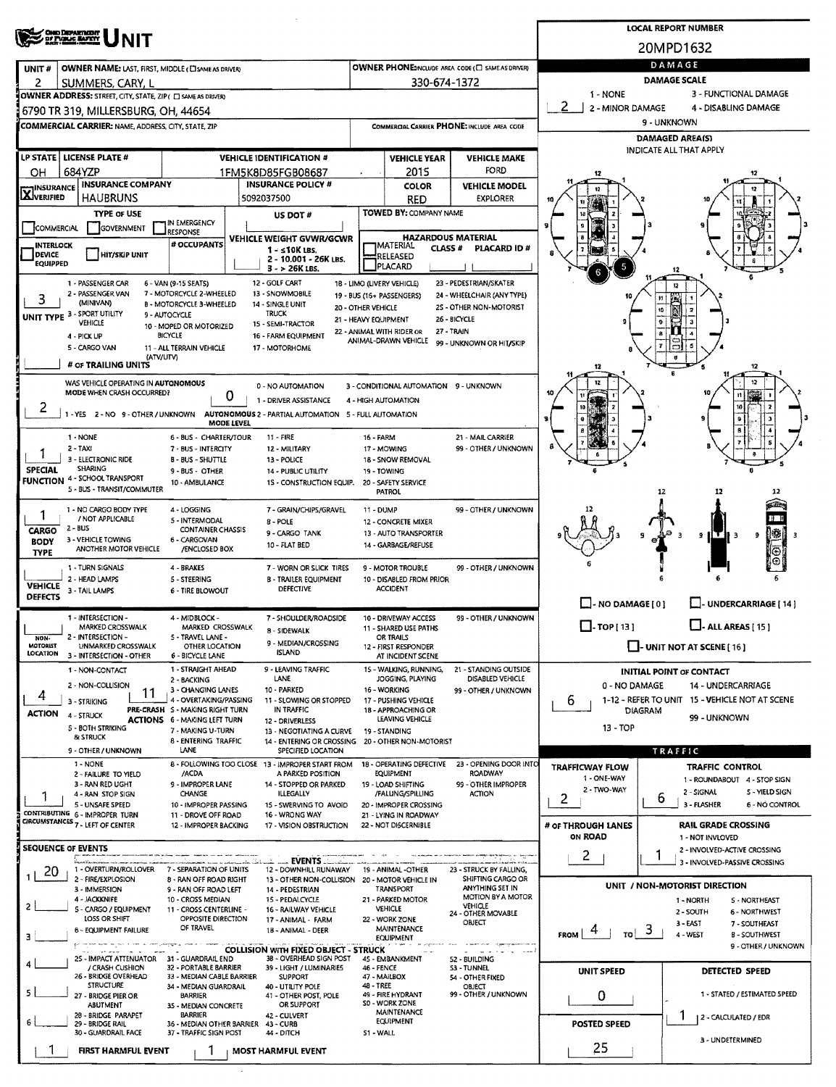|                                   | OND DEPARTMENT                                                                                    |                                                               | <b>LOCAL REPORT NUMBER</b>                                             |                    |                                                               |                                                       |                                    |                                 |                                                               |
|-----------------------------------|---------------------------------------------------------------------------------------------------|---------------------------------------------------------------|------------------------------------------------------------------------|--------------------|---------------------------------------------------------------|-------------------------------------------------------|------------------------------------|---------------------------------|---------------------------------------------------------------|
|                                   |                                                                                                   |                                                               | 20MPD1632                                                              |                    |                                                               |                                                       |                                    |                                 |                                                               |
| UNIT#                             | <b>OWNER NAME: LAST, FIRST, MIDDLE (CI SAME AS DRIVER)</b>                                        |                                                               |                                                                        |                    |                                                               | OWNER PHONE:INCLUDE AREA CODE (C) SAME AS DRIVER)     |                                    | DAMAGE                          |                                                               |
| 2                                 | SUMMERS, CARY, L                                                                                  |                                                               |                                                                        |                    | 330-674-1372                                                  |                                                       |                                    | <b>DAMAGE SCALE</b>             |                                                               |
|                                   | OWNER ADDRESS: STREET, CITY, STATE, ZIP( C) SAME AS DRIVER)                                       |                                                               |                                                                        |                    |                                                               |                                                       | 1 - NONE<br>-2<br>2 - MINOR DAMAGE |                                 | 3 - FUNCTIONAL DAMAGE<br>4 - DISABLING DAMAGE                 |
|                                   | 6790 TR 319, MILLERSBURG, OH, 44654<br><b>COMMERCIAL CARRIER: NAME, ADDRESS, CITY, STATE, ZIP</b> |                                                               |                                                                        |                    |                                                               | COMMERCIAL CARRIER PHONE: INCLUDE AREA CODE           |                                    | 9 - UNKNOWN                     |                                                               |
|                                   |                                                                                                   |                                                               |                                                                        |                    |                                                               |                                                       |                                    | <b>DAMAGED AREA(S)</b>          |                                                               |
|                                   | LP STATE   LICENSE PLATE #                                                                        |                                                               | <b>VEHICLE IDENTIFICATION #</b>                                        |                    | <b>VEHICLE YEAR</b>                                           | <b>VEHICLE MAKE</b>                                   |                                    | <b>INDICATE ALL THAT APPLY</b>  |                                                               |
| OН                                | 684YZP                                                                                            |                                                               | 1FM5K8D85FGB08687                                                      |                    | 2015                                                          | FORD                                                  | 12                                 |                                 |                                                               |
| INSURANCE<br><b>X</b> VERIFIED    | <b>INSURANCE COMPANY</b><br>HAUBRUNS                                                              |                                                               | <b>INSURANCE POLICY #</b><br>5092037500                                |                    | COLOR<br>RED                                                  | <b>VEHICLE MODEL</b><br><b>EXPLORER</b>               |                                    |                                 |                                                               |
|                                   | <b>TYPE OF USE</b>                                                                                |                                                               | US DOT #                                                               |                    | TOWED BY: COMPANY NAME                                        |                                                       |                                    |                                 |                                                               |
| COMMERCIAL                        | GOVERNMENT                                                                                        | IN EMERGENCY<br>RESPONSE                                      |                                                                        |                    |                                                               | <b>HAZARDOUS MATERIAL</b>                             |                                    |                                 |                                                               |
| <b>INTERLOCK</b><br><b>DEVICE</b> | HIT/SKIP UNIT                                                                                     | # OCCUPANTS                                                   | VEHICLE WEIGHT GVWR/GCWR<br>$1 - s10K$ LBS.                            |                    | <b>IMATERIAL</b><br><b>CLASS#</b><br>RELEASED                 | PLACARD ID#                                           |                                    |                                 |                                                               |
| <b>EQUIPPED</b>                   |                                                                                                   |                                                               | 2 - 10.001 - 26K LBS.<br>$3 - 26K$ LBS.                                |                    | PLACARD                                                       |                                                       |                                    |                                 |                                                               |
|                                   | 1 - PASSENGER CAR                                                                                 | 6 - VAN (9-15 SEATS)<br>7 - MOTORCYCLE 2-WHEELED              | 12 - GOLF CART                                                         |                    | 18 - LIMO (LIVERY VEHICLE)                                    | 23 - PEDESTRIAN/SKATER                                |                                    | 12                              |                                                               |
| 3                                 | 2 - PASSENGER VAN<br>(MINIVAN)                                                                    | <b>B - MOTORCYCLE 3-WHEELED</b>                               | 13 - SNOWMOBILE<br>14 - SINGLE UNIT                                    | 20 - OTHER VEHICLE | 19 - BUS (16+ PASSENGERS)                                     | 24 - WHEELCHAIR (ANY TYPE)<br>2S - OTHER NON-MOTORIST |                                    |                                 |                                                               |
|                                   | UNIT TYPE 3 - SPORT UTILITY<br>VEHICLE                                                            | 9 - AUTOCYCLE<br>10 - MOPED OR MOTORIZED                      | <b>TRUCK</b><br>15 - SEMI-TRACTOR                                      |                    | 21 - HEAVY EQUIPMENT                                          | 26 - BICYCLE                                          |                                    |                                 |                                                               |
|                                   | 4 - PICK UP<br>5 - CARGO VAN                                                                      | <b>BICYCLE</b><br>11 - ALL TERRAIN VEHICLE                    | 16 - FARM EQUIPMENT<br>17 - MOTORHOME                                  |                    | 22 - ANIMAL WITH RIDER OR<br>ANIMAL-DRAWN VEHICLE             | 27 - TRAIN<br>99 - UNKNOWN OR HIT/SKIP                |                                    |                                 |                                                               |
|                                   | (ATV/UTV)<br># OF TRAILING UNITS                                                                  |                                                               |                                                                        |                    |                                                               |                                                       |                                    |                                 |                                                               |
|                                   | WAS VEHICLE OPERATING IN AUTONOMOUS                                                               |                                                               |                                                                        |                    |                                                               |                                                       |                                    |                                 | 12<br>5<br>12                                                 |
|                                   | MODE WHEN CRASH OCCURRED?                                                                         | 0                                                             | 0 - NO AUTOMATION<br>1 - DRIVER ASSISTANCE                             |                    | 3 - CONDITIONAL AUTOMATION 9 - UNKNOWN<br>4 - HIGH AUTOMATION |                                                       |                                    |                                 | n                                                             |
| 2                                 | 1 - YES 2 - NO 9 - OTHER / UNKNOWN                                                                |                                                               | AUTONOMOUS 2 - PARTIAL AUTOMATION 5 - FULL AUTOMATION                  |                    |                                                               |                                                       | s                                  |                                 | 10                                                            |
|                                   | 1 - NONE                                                                                          | <b>MODE LEVEL</b><br>6 - BUS - CHARTER/TOUR                   | 11 - FIRE                                                              | 16 - FARM          |                                                               | 21 - MAIL CARRIER                                     |                                    |                                 |                                                               |
|                                   | $2 - TAXI$                                                                                        | 7 - BUS - INTERCITY                                           | 12 - MILITARY                                                          |                    | 17 - MOWING                                                   | 99 - OTHER / UNKNOWN                                  |                                    |                                 |                                                               |
| SPECIAL                           | 3 - ELECTRONIC RIDE<br><b>SHARING</b>                                                             | <b>B-BUS-SHUTTLE</b><br>9 - BUS - OTHER                       | 13 - POLICE<br>14 - PUBLIC UTILITY                                     |                    | 18 - SNOW REMOVAL<br>19 - TOWING                              |                                                       |                                    |                                 |                                                               |
|                                   | <b>FUNCTION 4-SCHOOL TRANSPORT</b><br>5 - BUS - TRANSIT/COMMUTER                                  | 10 - AMBULANCE                                                | 1S - CONSTRUCTION EQUIP.                                               |                    | 20 - SAFETY SERVICE<br>PATROL                                 |                                                       |                                    | 12                              | 12<br>12                                                      |
|                                   | 1 - NO CARGO BODY TYPE                                                                            | 4 - LOGGING                                                   | 7 - GRAIN/CHIPS/GRAVEL                                                 | 11 - DUMP          |                                                               | 99 - OTHER / UNKNOWN                                  |                                    |                                 |                                                               |
|                                   | / NOT APPLICABLE<br>$2 - BUS$                                                                     | 5 - INTERMODAL                                                | 8 - POLE                                                               |                    | 12 - CONCRETE MIXER                                           |                                                       |                                    |                                 |                                                               |
| CARGO<br><b>BODY</b>              | 3 - VEHICLE TOWING                                                                                | <b>CONTAINER CHASSIS</b><br>6 - CARGOVAN                      | 9 - CARGO TANK<br>10 - FLAT BED                                        |                    | 13 - AUTO TRANSPORTER<br>14 - GARBAGE/REFUSE                  |                                                       |                                    |                                 | ļ₿.<br>9<br>91<br>- 3                                         |
| <b>TYPE</b>                       | ANOTHER MOTOR VEHICLE                                                                             | /ENCLOSED BOX                                                 |                                                                        |                    |                                                               |                                                       |                                    |                                 | ⊕<br>⊕                                                        |
|                                   | 1 - TURN SIGNALS<br>2 - HEAD LAMPS                                                                | 4 - BRAKES<br><b>S-STEERING</b>                               | 7 - WORN OR SLICK TIRES<br><b>B - TRAILER EQUIPMENT</b>                |                    | 9 - MOTOR TROUBLE<br>10 - DISABLED FROM PRIOR                 | 99 - OTHER / UNKNOWN                                  |                                    |                                 |                                                               |
| <b>VEHICLE</b><br><b>DEFECTS</b>  | 3 - TAIL LAMPS                                                                                    | 6 - TIRE BLOWOUT                                              | <b>DEFECTIVE</b>                                                       |                    | <b>ACCIDENT</b>                                               |                                                       |                                    |                                 |                                                               |
|                                   | 1 - INTERSECTION -                                                                                | 4 - MIDBLOCK -                                                | 7 - SHOULDER/ROADSIDE                                                  |                    | 10 - DRIVEWAY ACCESS                                          | 99 - OTHER / UNKNOWN                                  | $\Box$ - NO DAMAGE [ 0 ]           |                                 | U-UNDERCARRIAGE [ 14 ]                                        |
| NON-                              | MARKED CROSSWALK<br>2 - INTERSECTION -                                                            | MARKED CROSSWALK<br>5 - TRAVEL LANE -                         | 8 - SIDEWALK                                                           |                    | 11 - SHARED USE PATHS<br>OR TRAILS                            |                                                       | $\prod$ -TOP [ 13 ]                |                                 | $\Box$ - ALL AREAS [ 15 ]                                     |
| <b>MOTORIST</b><br>LOCATION       | UNMARKED CROSSWALK<br>3 - INTERSECTION - OTHER                                                    | OTHER LOCATION<br>6 - BICYCLE LANE                            | 9 - MEDIAN/CROSSING<br><b>ISLAND</b>                                   |                    | 12 - FIRST RESPONDER<br>AT INCIDENT SCENE                     |                                                       |                                    |                                 | $\Box$ - UNIT NOT AT SCENE [16]                               |
|                                   | 1 - NON-CONTACT                                                                                   | 1 - STRAIGHT AHEAD                                            | 9 - LEAVING TRAFFIC                                                    |                    | 15 - WALKING, RUNNING,                                        | 21 - STANDING OUTSIDE                                 |                                    | <b>INITIAL POINT OF CONTACT</b> |                                                               |
|                                   | 2 - NON-COLLISION<br>11                                                                           | 2 - BACKING<br>3 - CHANGING LANES                             | LANE<br>10 - PARKED                                                    |                    | JOGGING, PLAYING<br>16 - WORKING                              | DISABLED VEHICLE<br>99 - OTHER / UNKNOWN              | 0 - NO DAMAGE                      |                                 | 14 - UNDERCARRIAGE                                            |
| 4                                 | 3 - STRIKING                                                                                      | 4 - OVERTAKING/PASSING<br>PRE-CRASH S - MAKING RIGHT TURN     | 11 - SLOWING OR STOPPED<br>IN TRAFFIC                                  |                    | 17 - PUSHING VEHICLE<br>18 - APPROACHING OR                   |                                                       | 6                                  | <b>DIAGRAM</b>                  | 1-12 - REFER TO UNIT 15 - VEHICLE NOT AT SCENE                |
| <b>ACTION</b>                     | 4 - STRUCK<br>5 - BOTH STRIKING                                                                   | <b>ACTIONS 6 - MAKING LEFT TURN</b><br>7 - MAKING U-TURN      | 12 - DRIVERLESS                                                        |                    | LEAVING VEHICLE                                               |                                                       | 13 - TOP                           |                                 | 99 - UNKNOWN                                                  |
|                                   | & STRUCK                                                                                          | 8 - ENTERING TRAFFIC                                          | 13 - NEGOTIATING A CURVE<br>14 - ENTERING OR CROSSING                  |                    | 19 - STANDING<br>20 - OTHER NON-MOTORIST                      |                                                       |                                    |                                 |                                                               |
|                                   | 9 - OTHER / UNKNOWN<br>1 - NONE                                                                   | LANE                                                          | SPECIFIED LOCATION<br>8 - FOLLOWING TOO CLOSE 13 - IMPROPER START FROM |                    |                                                               | 18 - OPERATING DEFECTIVE 23 - OPENING DOOR INTO       | <b>TRAFFICWAY FLOW</b>             | <b>TRAFFIC</b>                  | TRAFFIC CONTROL                                               |
|                                   | 2 - FAILURE TO YIELD<br>3 - RAN RED UGHT                                                          | /ACDA<br>9 - IMPROPER LANE                                    | A PARKED POSITION<br>14 - STOPPED OR PARKED                            |                    | <b>EQUIPMENT</b><br>19 - LOAD SHIFTING                        | ROADWAY<br>99 - OTHER IMPROPER                        | 1 - ONE-WAY                        |                                 | 1 - ROUNDABOUT 4 - STOP SIGN                                  |
|                                   | 4 - RAN STOP SIGN                                                                                 | CHANGE                                                        | <b>ILLEGALLY</b>                                                       |                    | /FALLING/SPILLING                                             | <b>ACTION</b>                                         | 2 - TWO-WAY<br>2                   | 6                               | 2 - SIGNAL<br>S - YIELD SIGN<br>3 - FLASHER<br>6 - NO CONTROL |
|                                   | 5 - UNSAFE SPEED<br>CONTRIBUTING 6 - IMPROPER TURN                                                | 10 - IMPROPER PASSING<br>11 - DROVE OFF ROAD                  | 15 - SWERVING TO AVOID<br>16 - WRONG WAY                               |                    | 20 - IMPROPER CROSSING<br>21 - LYING IN ROADWAY               |                                                       |                                    |                                 |                                                               |
|                                   | CIRCUMSTANCES 7 - LEFT OF CENTER                                                                  | 12 - IMPROPER BACKING                                         | 17 - VISION OBSTRUCTION                                                |                    | 22 - NOT DISCERNIBLE                                          |                                                       | # OF THROUGH LANES<br>ON ROAD      |                                 | <b>RAIL GRADE CROSSING</b><br>1 - NOT INVLOVED                |
|                                   | <b>SEQUENCE OF EVENTS</b>                                                                         |                                                               |                                                                        |                    |                                                               |                                                       | $\mathbf{2}$                       |                                 | 2 - INVOLVED-ACTIVE CROSSING                                  |
| 20                                | 1 - OVERTURN/ROLLOVER                                                                             | 7 - SEPARATION OF UNITS                                       | <b>EVENTS</b><br>12 - DOWNHILL RUNAWAY                                 |                    | 19 - ANIMAL -OTHER                                            | 23 - STRUCK BY FALLING,                               |                                    |                                 | 3 - INVOLVED-PASSIVE CROSSING                                 |
|                                   | 2 - FIRE/EXPLOSION<br>3 - IMMERSION                                                               | 8 - RAN OFF ROAD RIGHT<br>9 - RAN OFF ROAD LEFT               | 13 - OTHER NON-COLLISION<br>14 - PEDESTRIAN                            |                    | 20 - MOTOR VEHICLE IN<br>TRANSPORT                            | SHIFTING CARGO OR<br>ANYTHING SET IN                  |                                    |                                 | UNIT / NON-MOTORIST DIRECTION                                 |
| 2                                 | 4 - JACKKNIFE<br>5 - CARGO / EQUIPMENT                                                            | 10 - CROSS MEDIAN<br>11 - CROSS CENTERLINE -                  | 15 - PEDALCYCLE<br>16 - RAILWAY VEHICLE                                |                    | 21 - PARKED MOTOR<br>VEHICLE                                  | MOTION BY A MOTOR<br>VEHICLE<br>24 - OTHER MOVABLE    |                                    | 1 - NORTH<br>2 - SOUTH          | 5 - NORTHEAST<br>6 - NORTHWEST                                |
|                                   | LOSS OR SHIFT<br>6 - EQUIPMENT FAILURE                                                            | OPPOSITE DIRECTION<br>OF TRAVEL                               | 17 - ANIMAL - FARM<br>18 - ANIMAL - DEER                               |                    | 22 - WORK ZONE<br><b>MAINTENANCE</b>                          | OBJECT                                                | $\frac{1}{10}$ 3                   | 3 - EAST                        | 7 - SOUTHEAST                                                 |
| з                                 |                                                                                                   |                                                               | <b>COLLISION WITH FIXED OBJECT - STRUCK</b>                            |                    | <b>EQUIPMENT</b>                                              |                                                       | <b>FROM</b>                        | 4 - WEST                        | <b>B-SOUTHWEST</b><br>9 - OTHER / UNKNOWN                     |
|                                   | 25 - IMPACT ATTENUATOR 31 - GUARDRAIL END<br>/ CRASH CUSHION                                      | 32 - PORTABLE BARRIER                                         | 38 - OVERHEAD SIGN POST<br>39 - LIGHT / LUMINARIES                     | 46 - FENCE         | 45 - EMBANKMENT                                               | and a state of the company<br>52 - BUILDING           |                                    |                                 |                                                               |
|                                   | 26 - BRIDGE OVERHEAD<br><b>STRUCTURE</b>                                                          | 33 - MEDIAN CABLE BARRIER                                     | <b>SUPPORT</b>                                                         | 48 - TREE          | 47 - MAILBOX                                                  | 53 - TUNNEL<br>54 - OTHER FIXED                       | UNIT SPEED                         |                                 | DETECTED SPEED                                                |
| 5                                 | 27 - BRIDGE PIER OR                                                                               | 34 - MEDIAN GUARDRAIL<br>BARRIER                              | 40 - UTILITY POLE<br>41 - OTHER POST, POLE                             |                    | 49 - FIRE HYDRANT<br>SD - WORK ZONE                           | OBJECT<br>99 - OTHER / UNKNOWN                        | 0                                  |                                 | 1 - STATED / ESTIMATED SPEED                                  |
|                                   | ABUTMENT<br>28 - BRIDGE PARAPET                                                                   | 35 - MEDIAN CONCRETE<br><b>BARRIER</b>                        | OR SUPPORT<br>42 - CULVERT                                             |                    | <b>MAINTENANCE</b><br><b>EQUIPMENT</b>                        |                                                       |                                    | T                               | 2 - CALCULATED / EDR                                          |
| 6.                                | 29 - BRIDGE RAIL<br>30 - GUARDRAIL FACE                                                           | 36 - MEDIAN OTHER BARRIER 43 - CURB<br>37 - TRAFFIC SIGN POST | 44 - DITCH                                                             | S1 - WALL          |                                                               |                                                       | POSTED SPEED                       |                                 |                                                               |
|                                   | FIRST HARMFUL EVENT                                                                               |                                                               | <b>MOST HARMFUL EVENT</b>                                              |                    |                                                               |                                                       | 25                                 |                                 | 3 - UNDETERMINED                                              |
|                                   |                                                                                                   |                                                               |                                                                        |                    |                                                               |                                                       |                                    |                                 |                                                               |